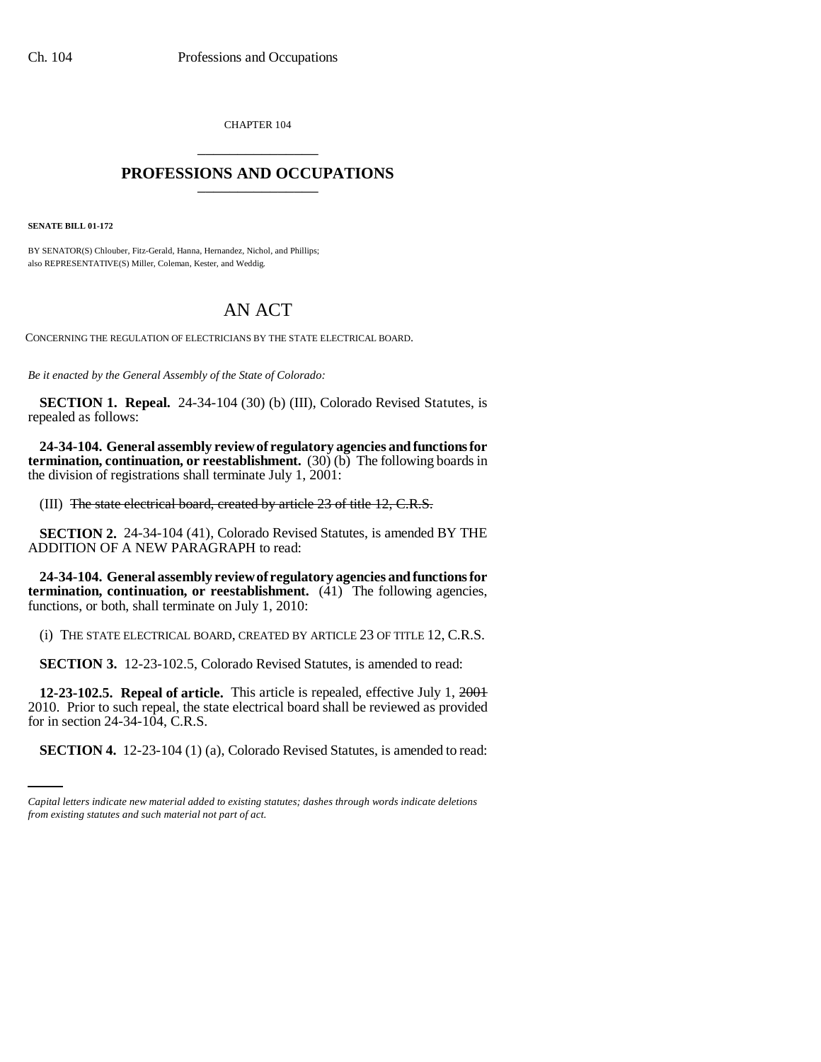CHAPTER 104 \_\_\_\_\_\_\_\_\_\_\_\_\_\_\_

## **PROFESSIONS AND OCCUPATIONS** \_\_\_\_\_\_\_\_\_\_\_\_\_\_\_

**SENATE BILL 01-172**

BY SENATOR(S) Chlouber, Fitz-Gerald, Hanna, Hernandez, Nichol, and Phillips; also REPRESENTATIVE(S) Miller, Coleman, Kester, and Weddig.

## AN ACT

CONCERNING THE REGULATION OF ELECTRICIANS BY THE STATE ELECTRICAL BOARD.

*Be it enacted by the General Assembly of the State of Colorado:*

**SECTION 1. Repeal.** 24-34-104 (30) (b) (III), Colorado Revised Statutes, is repealed as follows:

**24-34-104. General assembly review of regulatory agencies and functions for termination, continuation, or reestablishment.** (30) (b) The following boards in the division of registrations shall terminate July 1, 2001:

(III) The state electrical board, created by article 23 of title 12, C.R.S.

**SECTION 2.** 24-34-104 (41), Colorado Revised Statutes, is amended BY THE ADDITION OF A NEW PARAGRAPH to read:

**24-34-104. General assembly review of regulatory agencies and functions for termination, continuation, or reestablishment.** (41) The following agencies, functions, or both, shall terminate on July 1, 2010:

(i) THE STATE ELECTRICAL BOARD, CREATED BY ARTICLE 23 OF TITLE 12, C.R.S.

**SECTION 3.** 12-23-102.5, Colorado Revised Statutes, is amended to read:

 $2010$ :  $1101$  to state repeat, the s **12-23-102.5. Repeal of article.** This article is repealed, effective July 1, 2001 2010. Prior to such repeal, the state electrical board shall be reviewed as provided

**SECTION 4.** 12-23-104 (1) (a), Colorado Revised Statutes, is amended to read:

*Capital letters indicate new material added to existing statutes; dashes through words indicate deletions from existing statutes and such material not part of act.*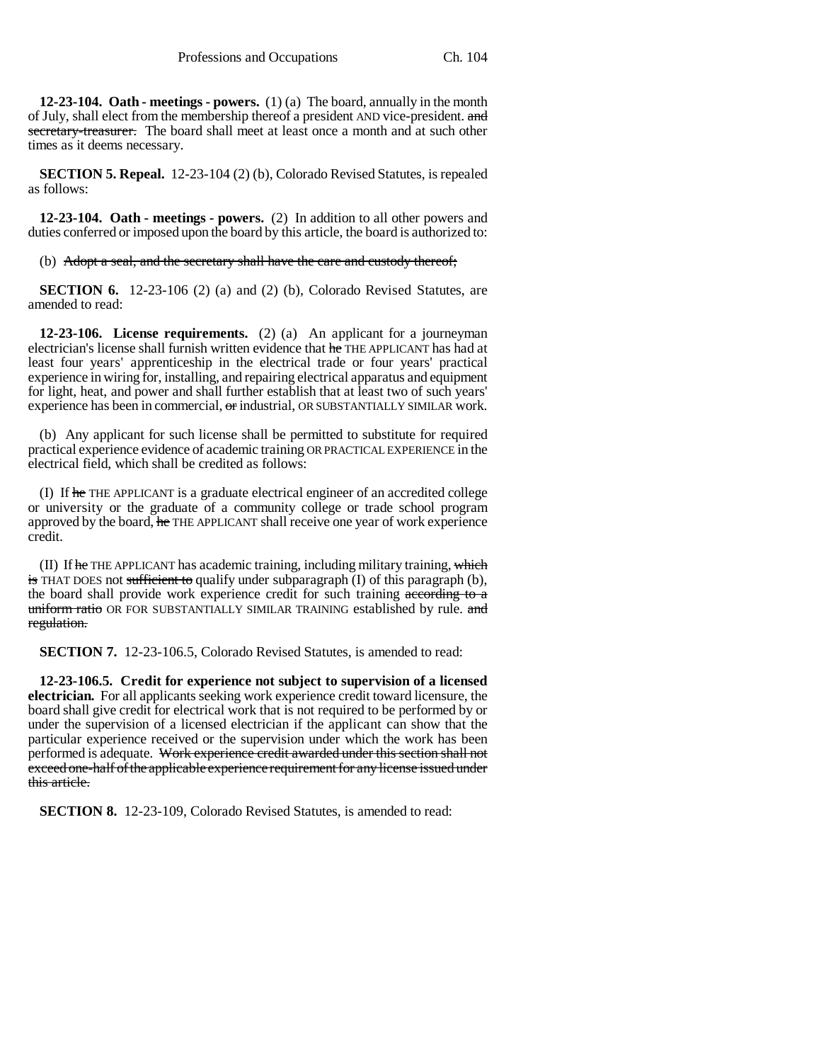**12-23-104. Oath - meetings - powers.** (1) (a) The board, annually in the month of July, shall elect from the membership thereof a president AND vice-president. and secretary-treasurer. The board shall meet at least once a month and at such other times as it deems necessary.

**SECTION 5. Repeal.** 12-23-104 (2) (b), Colorado Revised Statutes, is repealed as follows:

**12-23-104. Oath - meetings - powers.** (2) In addition to all other powers and duties conferred or imposed upon the board by this article, the board is authorized to:

(b) Adopt a seal, and the secretary shall have the care and custody thereof;

**SECTION 6.** 12-23-106 (2) (a) and (2) (b), Colorado Revised Statutes, are amended to read:

**12-23-106. License requirements.** (2) (a) An applicant for a journeyman electrician's license shall furnish written evidence that he THE APPLICANT has had at least four years' apprenticeship in the electrical trade or four years' practical experience in wiring for, installing, and repairing electrical apparatus and equipment for light, heat, and power and shall further establish that at least two of such years' experience has been in commercial,  $\sigma$ r industrial, OR SUBSTANTIALLY SIMILAR work.

(b) Any applicant for such license shall be permitted to substitute for required practical experience evidence of academic training OR PRACTICAL EXPERIENCE in the electrical field, which shall be credited as follows:

(I) If he THE APPLICANT is a graduate electrical engineer of an accredited college or university or the graduate of a community college or trade school program approved by the board, he THE APPLICANT shall receive one year of work experience credit.

(II) If he THE APPLICANT has academic training, including military training, which is THAT DOES not sufficient to qualify under subparagraph (I) of this paragraph (b), the board shall provide work experience credit for such training according to a uniform ratio OR FOR SUBSTANTIALLY SIMILAR TRAINING established by rule. and regulation.

**SECTION 7.** 12-23-106.5, Colorado Revised Statutes, is amended to read:

**12-23-106.5. Credit for experience not subject to supervision of a licensed electrician.** For all applicants seeking work experience credit toward licensure, the board shall give credit for electrical work that is not required to be performed by or under the supervision of a licensed electrician if the applicant can show that the particular experience received or the supervision under which the work has been performed is adequate. Work experience credit awarded under this section shall not exceed one-half of the applicable experience requirement for any license issued under this article.

**SECTION 8.** 12-23-109, Colorado Revised Statutes, is amended to read: